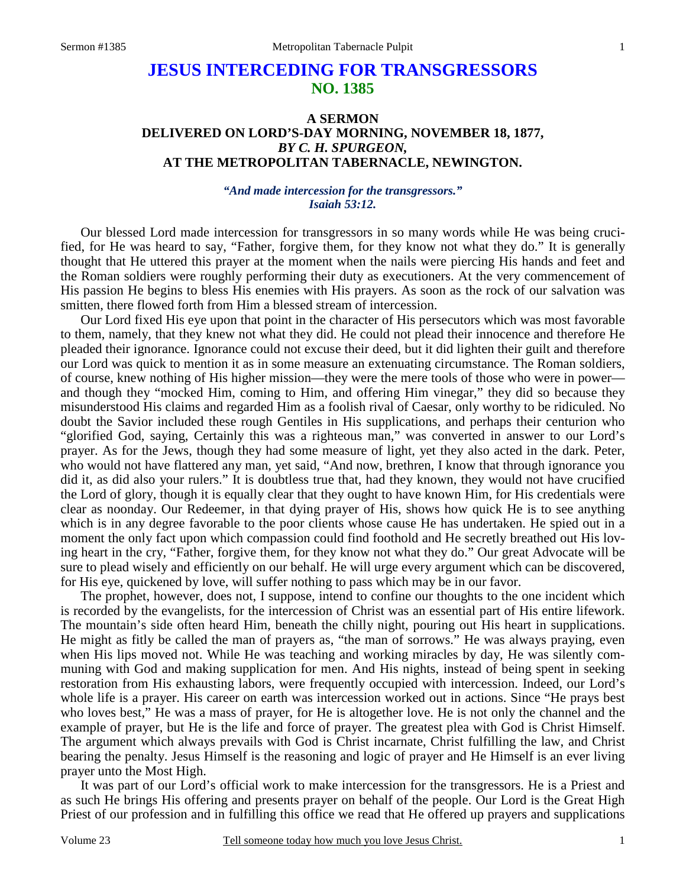# **JESUS INTERCEDING FOR TRANSGRESSORS NO. 1385**

## **A SERMON DELIVERED ON LORD'S-DAY MORNING, NOVEMBER 18, 1877,** *BY C. H. SPURGEON,*  **AT THE METROPOLITAN TABERNACLE, NEWINGTON.**

*"And made intercession for the transgressors." Isaiah 53:12.* 

Our blessed Lord made intercession for transgressors in so many words while He was being crucified, for He was heard to say, "Father, forgive them, for they know not what they do." It is generally thought that He uttered this prayer at the moment when the nails were piercing His hands and feet and the Roman soldiers were roughly performing their duty as executioners. At the very commencement of His passion He begins to bless His enemies with His prayers. As soon as the rock of our salvation was smitten, there flowed forth from Him a blessed stream of intercession.

Our Lord fixed His eye upon that point in the character of His persecutors which was most favorable to them, namely, that they knew not what they did. He could not plead their innocence and therefore He pleaded their ignorance. Ignorance could not excuse their deed, but it did lighten their guilt and therefore our Lord was quick to mention it as in some measure an extenuating circumstance. The Roman soldiers, of course, knew nothing of His higher mission—they were the mere tools of those who were in power and though they "mocked Him, coming to Him, and offering Him vinegar," they did so because they misunderstood His claims and regarded Him as a foolish rival of Caesar, only worthy to be ridiculed. No doubt the Savior included these rough Gentiles in His supplications, and perhaps their centurion who "glorified God, saying, Certainly this was a righteous man," was converted in answer to our Lord's prayer. As for the Jews, though they had some measure of light, yet they also acted in the dark. Peter, who would not have flattered any man, yet said, "And now, brethren, I know that through ignorance you did it, as did also your rulers." It is doubtless true that, had they known, they would not have crucified the Lord of glory, though it is equally clear that they ought to have known Him, for His credentials were clear as noonday. Our Redeemer, in that dying prayer of His, shows how quick He is to see anything which is in any degree favorable to the poor clients whose cause He has undertaken. He spied out in a moment the only fact upon which compassion could find foothold and He secretly breathed out His loving heart in the cry, "Father, forgive them, for they know not what they do." Our great Advocate will be sure to plead wisely and efficiently on our behalf. He will urge every argument which can be discovered, for His eye, quickened by love, will suffer nothing to pass which may be in our favor.

The prophet, however, does not, I suppose, intend to confine our thoughts to the one incident which is recorded by the evangelists, for the intercession of Christ was an essential part of His entire lifework. The mountain's side often heard Him, beneath the chilly night, pouring out His heart in supplications. He might as fitly be called the man of prayers as, "the man of sorrows." He was always praying, even when His lips moved not. While He was teaching and working miracles by day, He was silently communing with God and making supplication for men. And His nights, instead of being spent in seeking restoration from His exhausting labors, were frequently occupied with intercession. Indeed, our Lord's whole life is a prayer. His career on earth was intercession worked out in actions. Since "He prays best who loves best," He was a mass of prayer, for He is altogether love. He is not only the channel and the example of prayer, but He is the life and force of prayer. The greatest plea with God is Christ Himself. The argument which always prevails with God is Christ incarnate, Christ fulfilling the law, and Christ bearing the penalty. Jesus Himself is the reasoning and logic of prayer and He Himself is an ever living prayer unto the Most High.

It was part of our Lord's official work to make intercession for the transgressors. He is a Priest and as such He brings His offering and presents prayer on behalf of the people. Our Lord is the Great High Priest of our profession and in fulfilling this office we read that He offered up prayers and supplications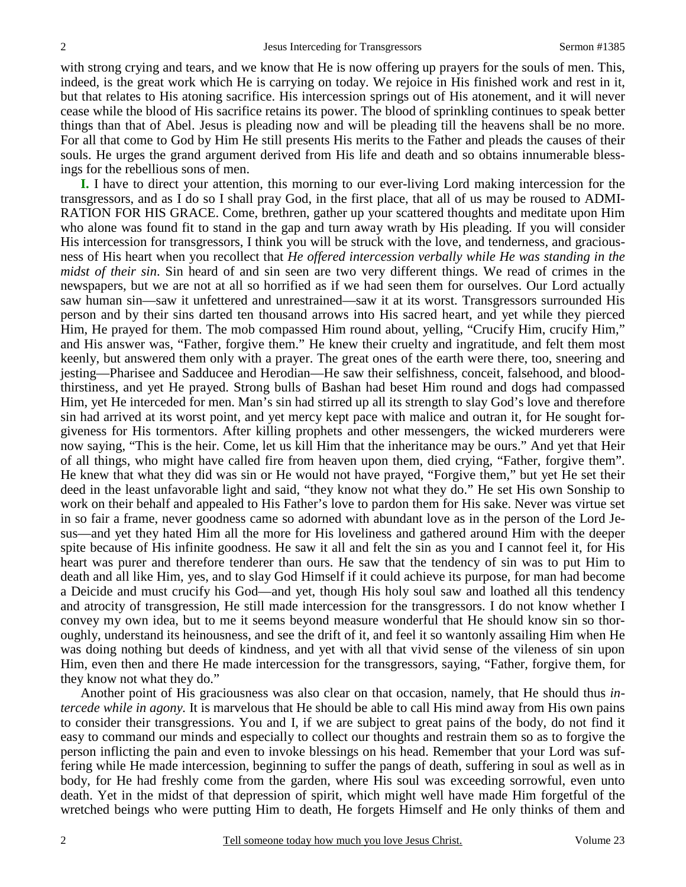with strong crying and tears, and we know that He is now offering up prayers for the souls of men. This, indeed, is the great work which He is carrying on today. We rejoice in His finished work and rest in it, but that relates to His atoning sacrifice. His intercession springs out of His atonement, and it will never cease while the blood of His sacrifice retains its power. The blood of sprinkling continues to speak better things than that of Abel. Jesus is pleading now and will be pleading till the heavens shall be no more. For all that come to God by Him He still presents His merits to the Father and pleads the causes of their souls. He urges the grand argument derived from His life and death and so obtains innumerable blessings for the rebellious sons of men.

**I.** I have to direct your attention, this morning to our ever-living Lord making intercession for the transgressors, and as I do so I shall pray God, in the first place, that all of us may be roused to ADMI-RATION FOR HIS GRACE. Come, brethren, gather up your scattered thoughts and meditate upon Him who alone was found fit to stand in the gap and turn away wrath by His pleading. If you will consider His intercession for transgressors, I think you will be struck with the love, and tenderness, and graciousness of His heart when you recollect that *He offered intercession verbally while He was standing in the midst of their sin*. Sin heard of and sin seen are two very different things. We read of crimes in the newspapers, but we are not at all so horrified as if we had seen them for ourselves. Our Lord actually saw human sin—saw it unfettered and unrestrained—saw it at its worst. Transgressors surrounded His person and by their sins darted ten thousand arrows into His sacred heart, and yet while they pierced Him, He prayed for them. The mob compassed Him round about, yelling, "Crucify Him, crucify Him," and His answer was, "Father, forgive them." He knew their cruelty and ingratitude, and felt them most keenly, but answered them only with a prayer. The great ones of the earth were there, too, sneering and jesting—Pharisee and Sadducee and Herodian—He saw their selfishness, conceit, falsehood, and bloodthirstiness, and yet He prayed. Strong bulls of Bashan had beset Him round and dogs had compassed Him, yet He interceded for men. Man's sin had stirred up all its strength to slay God's love and therefore sin had arrived at its worst point, and yet mercy kept pace with malice and outran it, for He sought forgiveness for His tormentors. After killing prophets and other messengers, the wicked murderers were now saying, "This is the heir. Come, let us kill Him that the inheritance may be ours." And yet that Heir of all things, who might have called fire from heaven upon them, died crying, "Father, forgive them". He knew that what they did was sin or He would not have prayed, "Forgive them," but yet He set their deed in the least unfavorable light and said, "they know not what they do." He set His own Sonship to work on their behalf and appealed to His Father's love to pardon them for His sake. Never was virtue set in so fair a frame, never goodness came so adorned with abundant love as in the person of the Lord Jesus—and yet they hated Him all the more for His loveliness and gathered around Him with the deeper spite because of His infinite goodness. He saw it all and felt the sin as you and I cannot feel it, for His heart was purer and therefore tenderer than ours. He saw that the tendency of sin was to put Him to death and all like Him, yes, and to slay God Himself if it could achieve its purpose, for man had become a Deicide and must crucify his God—and yet, though His holy soul saw and loathed all this tendency and atrocity of transgression, He still made intercession for the transgressors. I do not know whether I convey my own idea, but to me it seems beyond measure wonderful that He should know sin so thoroughly, understand its heinousness, and see the drift of it, and feel it so wantonly assailing Him when He was doing nothing but deeds of kindness, and yet with all that vivid sense of the vileness of sin upon Him, even then and there He made intercession for the transgressors, saying, "Father, forgive them, for they know not what they do."

Another point of His graciousness was also clear on that occasion, namely, that He should thus *intercede while in agony.* It is marvelous that He should be able to call His mind away from His own pains to consider their transgressions. You and I, if we are subject to great pains of the body, do not find it easy to command our minds and especially to collect our thoughts and restrain them so as to forgive the person inflicting the pain and even to invoke blessings on his head. Remember that your Lord was suffering while He made intercession, beginning to suffer the pangs of death, suffering in soul as well as in body, for He had freshly come from the garden, where His soul was exceeding sorrowful, even unto death. Yet in the midst of that depression of spirit, which might well have made Him forgetful of the wretched beings who were putting Him to death, He forgets Himself and He only thinks of them and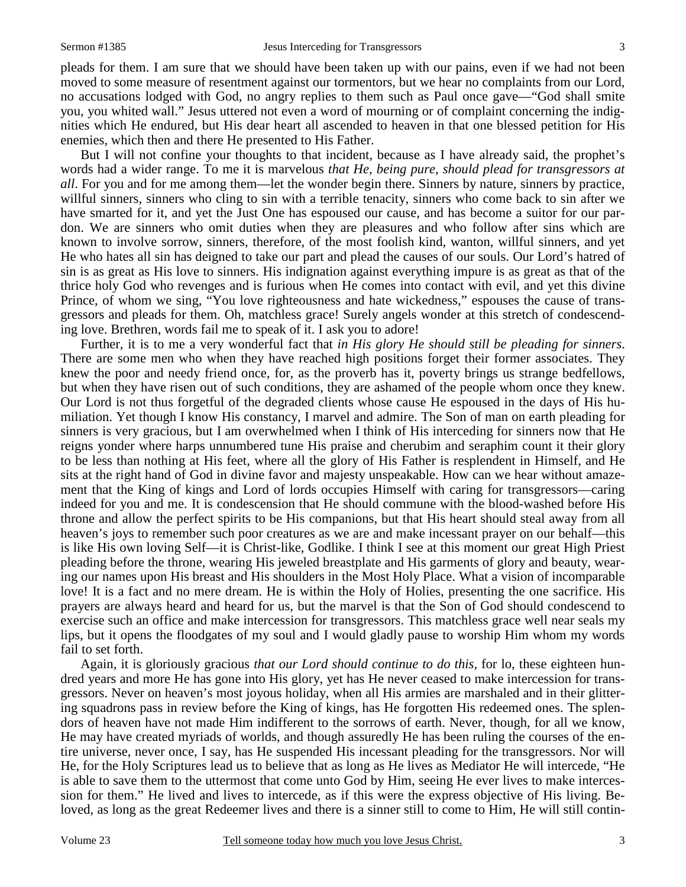pleads for them. I am sure that we should have been taken up with our pains, even if we had not been moved to some measure of resentment against our tormentors, but we hear no complaints from our Lord, no accusations lodged with God, no angry replies to them such as Paul once gave—"God shall smite you, you whited wall." Jesus uttered not even a word of mourning or of complaint concerning the indignities which He endured, but His dear heart all ascended to heaven in that one blessed petition for His enemies, which then and there He presented to His Father.

But I will not confine your thoughts to that incident, because as I have already said, the prophet's words had a wider range. To me it is marvelous *that He, being pure, should plead for transgressors at all*. For you and for me among them—let the wonder begin there. Sinners by nature, sinners by practice, willful sinners, sinners who cling to sin with a terrible tenacity, sinners who come back to sin after we have smarted for it, and yet the Just One has espoused our cause, and has become a suitor for our pardon. We are sinners who omit duties when they are pleasures and who follow after sins which are known to involve sorrow, sinners, therefore, of the most foolish kind, wanton, willful sinners, and yet He who hates all sin has deigned to take our part and plead the causes of our souls. Our Lord's hatred of sin is as great as His love to sinners. His indignation against everything impure is as great as that of the thrice holy God who revenges and is furious when He comes into contact with evil, and yet this divine Prince, of whom we sing, "You love righteousness and hate wickedness," espouses the cause of transgressors and pleads for them. Oh, matchless grace! Surely angels wonder at this stretch of condescending love. Brethren, words fail me to speak of it. I ask you to adore!

Further, it is to me a very wonderful fact that *in His glory He should still be pleading for sinners*. There are some men who when they have reached high positions forget their former associates. They knew the poor and needy friend once, for, as the proverb has it, poverty brings us strange bedfellows, but when they have risen out of such conditions, they are ashamed of the people whom once they knew. Our Lord is not thus forgetful of the degraded clients whose cause He espoused in the days of His humiliation. Yet though I know His constancy, I marvel and admire. The Son of man on earth pleading for sinners is very gracious, but I am overwhelmed when I think of His interceding for sinners now that He reigns yonder where harps unnumbered tune His praise and cherubim and seraphim count it their glory to be less than nothing at His feet, where all the glory of His Father is resplendent in Himself, and He sits at the right hand of God in divine favor and majesty unspeakable. How can we hear without amazement that the King of kings and Lord of lords occupies Himself with caring for transgressors—caring indeed for you and me. It is condescension that He should commune with the blood-washed before His throne and allow the perfect spirits to be His companions, but that His heart should steal away from all heaven's joys to remember such poor creatures as we are and make incessant prayer on our behalf—this is like His own loving Self—it is Christ-like, Godlike. I think I see at this moment our great High Priest pleading before the throne, wearing His jeweled breastplate and His garments of glory and beauty, wearing our names upon His breast and His shoulders in the Most Holy Place. What a vision of incomparable love! It is a fact and no mere dream. He is within the Holy of Holies, presenting the one sacrifice. His prayers are always heard and heard for us, but the marvel is that the Son of God should condescend to exercise such an office and make intercession for transgressors. This matchless grace well near seals my lips, but it opens the floodgates of my soul and I would gladly pause to worship Him whom my words fail to set forth.

Again, it is gloriously gracious *that our Lord should continue to do this,* for lo, these eighteen hundred years and more He has gone into His glory, yet has He never ceased to make intercession for transgressors. Never on heaven's most joyous holiday, when all His armies are marshaled and in their glittering squadrons pass in review before the King of kings, has He forgotten His redeemed ones. The splendors of heaven have not made Him indifferent to the sorrows of earth. Never, though, for all we know, He may have created myriads of worlds, and though assuredly He has been ruling the courses of the entire universe, never once, I say, has He suspended His incessant pleading for the transgressors. Nor will He, for the Holy Scriptures lead us to believe that as long as He lives as Mediator He will intercede, "He is able to save them to the uttermost that come unto God by Him, seeing He ever lives to make intercession for them." He lived and lives to intercede, as if this were the express objective of His living. Beloved, as long as the great Redeemer lives and there is a sinner still to come to Him, He will still contin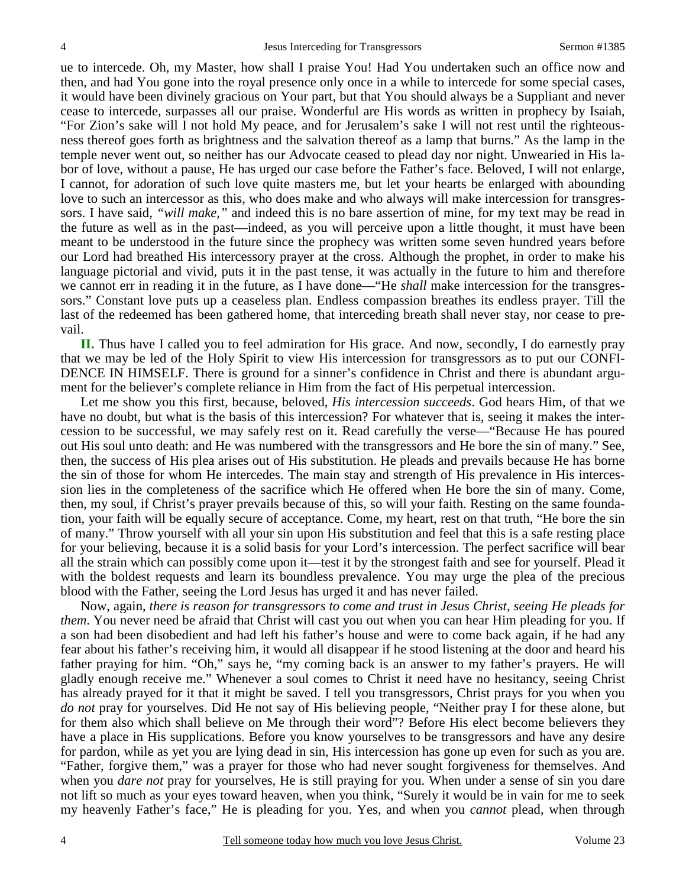ue to intercede. Oh, my Master, how shall I praise You! Had You undertaken such an office now and then, and had You gone into the royal presence only once in a while to intercede for some special cases, it would have been divinely gracious on Your part, but that You should always be a Suppliant and never cease to intercede, surpasses all our praise. Wonderful are His words as written in prophecy by Isaiah, "For Zion's sake will I not hold My peace, and for Jerusalem's sake I will not rest until the righteousness thereof goes forth as brightness and the salvation thereof as a lamp that burns." As the lamp in the temple never went out, so neither has our Advocate ceased to plead day nor night. Unwearied in His labor of love, without a pause, He has urged our case before the Father's face. Beloved, I will not enlarge, I cannot, for adoration of such love quite masters me, but let your hearts be enlarged with abounding love to such an intercessor as this, who does make and who always will make intercession for transgressors. I have said, *"will make,"* and indeed this is no bare assertion of mine, for my text may be read in the future as well as in the past—indeed, as you will perceive upon a little thought, it must have been meant to be understood in the future since the prophecy was written some seven hundred years before our Lord had breathed His intercessory prayer at the cross. Although the prophet, in order to make his language pictorial and vivid, puts it in the past tense, it was actually in the future to him and therefore we cannot err in reading it in the future, as I have done—"He *shall* make intercession for the transgressors." Constant love puts up a ceaseless plan. Endless compassion breathes its endless prayer. Till the last of the redeemed has been gathered home, that interceding breath shall never stay, nor cease to prevail.

**II.** Thus have I called you to feel admiration for His grace. And now, secondly, I do earnestly pray that we may be led of the Holy Spirit to view His intercession for transgressors as to put our CONFI-DENCE IN HIMSELF. There is ground for a sinner's confidence in Christ and there is abundant argument for the believer's complete reliance in Him from the fact of His perpetual intercession.

Let me show you this first, because, beloved, *His intercession succeeds*. God hears Him, of that we have no doubt, but what is the basis of this intercession? For whatever that is, seeing it makes the intercession to be successful, we may safely rest on it. Read carefully the verse—"Because He has poured out His soul unto death: and He was numbered with the transgressors and He bore the sin of many." See, then, the success of His plea arises out of His substitution. He pleads and prevails because He has borne the sin of those for whom He intercedes. The main stay and strength of His prevalence in His intercession lies in the completeness of the sacrifice which He offered when He bore the sin of many. Come, then, my soul, if Christ's prayer prevails because of this, so will your faith. Resting on the same foundation, your faith will be equally secure of acceptance. Come, my heart, rest on that truth, "He bore the sin of many." Throw yourself with all your sin upon His substitution and feel that this is a safe resting place for your believing, because it is a solid basis for your Lord's intercession. The perfect sacrifice will bear all the strain which can possibly come upon it—test it by the strongest faith and see for yourself. Plead it with the boldest requests and learn its boundless prevalence. You may urge the plea of the precious blood with the Father, seeing the Lord Jesus has urged it and has never failed.

Now, again, *there is reason for transgressors to come and trust in Jesus Christ, seeing He pleads for them*. You never need be afraid that Christ will cast you out when you can hear Him pleading for you. If a son had been disobedient and had left his father's house and were to come back again, if he had any fear about his father's receiving him, it would all disappear if he stood listening at the door and heard his father praying for him. "Oh," says he, "my coming back is an answer to my father's prayers. He will gladly enough receive me." Whenever a soul comes to Christ it need have no hesitancy, seeing Christ has already prayed for it that it might be saved. I tell you transgressors, Christ prays for you when you *do not* pray for yourselves. Did He not say of His believing people, "Neither pray I for these alone, but for them also which shall believe on Me through their word"? Before His elect become believers they have a place in His supplications. Before you know yourselves to be transgressors and have any desire for pardon, while as yet you are lying dead in sin, His intercession has gone up even for such as you are. "Father, forgive them," was a prayer for those who had never sought forgiveness for themselves. And when you *dare not* pray for yourselves, He is still praying for you. When under a sense of sin you dare not lift so much as your eyes toward heaven, when you think, "Surely it would be in vain for me to seek my heavenly Father's face," He is pleading for you. Yes, and when you *cannot* plead, when through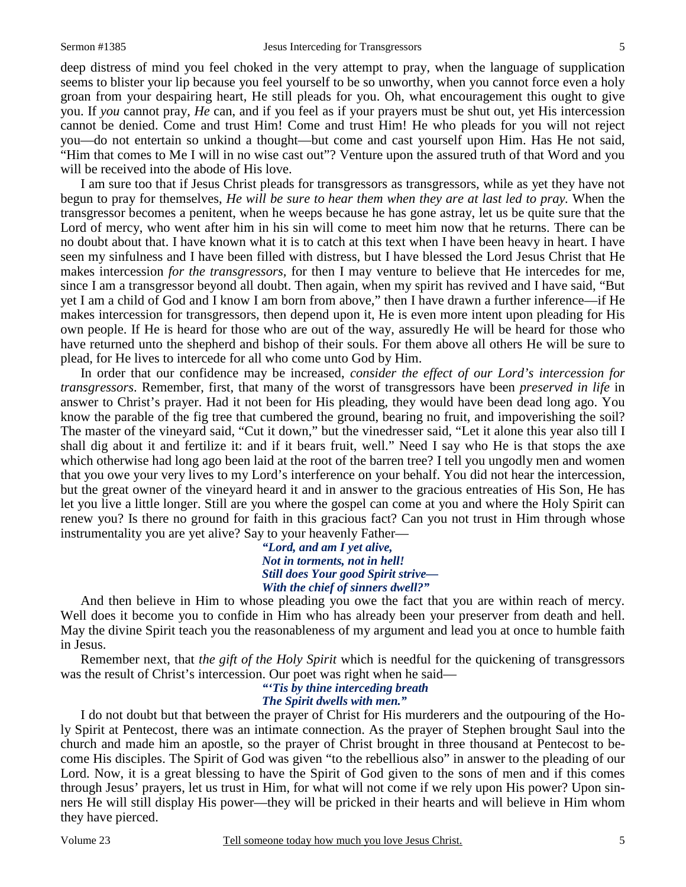deep distress of mind you feel choked in the very attempt to pray, when the language of supplication seems to blister your lip because you feel yourself to be so unworthy, when you cannot force even a holy groan from your despairing heart, He still pleads for you. Oh, what encouragement this ought to give you. If *you* cannot pray, *He* can, and if you feel as if your prayers must be shut out, yet His intercession cannot be denied. Come and trust Him! Come and trust Him! He who pleads for you will not reject you—do not entertain so unkind a thought—but come and cast yourself upon Him. Has He not said, "Him that comes to Me I will in no wise cast out"? Venture upon the assured truth of that Word and you will be received into the abode of His love.

I am sure too that if Jesus Christ pleads for transgressors as transgressors, while as yet they have not begun to pray for themselves, *He will be sure to hear them when they are at last led to pray.* When the transgressor becomes a penitent, when he weeps because he has gone astray, let us be quite sure that the Lord of mercy, who went after him in his sin will come to meet him now that he returns. There can be no doubt about that. I have known what it is to catch at this text when I have been heavy in heart. I have seen my sinfulness and I have been filled with distress, but I have blessed the Lord Jesus Christ that He makes intercession *for the transgressors,* for then I may venture to believe that He intercedes for me, since I am a transgressor beyond all doubt. Then again, when my spirit has revived and I have said, "But yet I am a child of God and I know I am born from above," then I have drawn a further inference—if He makes intercession for transgressors, then depend upon it, He is even more intent upon pleading for His own people. If He is heard for those who are out of the way, assuredly He will be heard for those who have returned unto the shepherd and bishop of their souls. For them above all others He will be sure to plead, for He lives to intercede for all who come unto God by Him.

In order that our confidence may be increased, *consider the effect of our Lord's intercession for transgressors*. Remember, first, that many of the worst of transgressors have been *preserved in life* in answer to Christ's prayer. Had it not been for His pleading, they would have been dead long ago. You know the parable of the fig tree that cumbered the ground, bearing no fruit, and impoverishing the soil? The master of the vineyard said, "Cut it down," but the vinedresser said, "Let it alone this year also till I shall dig about it and fertilize it: and if it bears fruit, well." Need I say who He is that stops the axe which otherwise had long ago been laid at the root of the barren tree? I tell you ungodly men and women that you owe your very lives to my Lord's interference on your behalf. You did not hear the intercession, but the great owner of the vineyard heard it and in answer to the gracious entreaties of His Son, He has let you live a little longer. Still are you where the gospel can come at you and where the Holy Spirit can renew you? Is there no ground for faith in this gracious fact? Can you not trust in Him through whose instrumentality you are yet alive? Say to your heavenly Father—

*"Lord, and am I yet alive, Not in torments, not in hell! Still does Your good Spirit strive— With the chief of sinners dwell?"* 

And then believe in Him to whose pleading you owe the fact that you are within reach of mercy. Well does it become you to confide in Him who has already been your preserver from death and hell. May the divine Spirit teach you the reasonableness of my argument and lead you at once to humble faith in Jesus.

Remember next, that *the gift of the Holy Spirit* which is needful for the quickening of transgressors was the result of Christ's intercession. Our poet was right when he said—

*"'Tis by thine interceding breath* 

*The Spirit dwells with men."* 

I do not doubt but that between the prayer of Christ for His murderers and the outpouring of the Holy Spirit at Pentecost, there was an intimate connection. As the prayer of Stephen brought Saul into the church and made him an apostle, so the prayer of Christ brought in three thousand at Pentecost to become His disciples. The Spirit of God was given "to the rebellious also" in answer to the pleading of our Lord. Now, it is a great blessing to have the Spirit of God given to the sons of men and if this comes through Jesus' prayers, let us trust in Him, for what will not come if we rely upon His power? Upon sinners He will still display His power—they will be pricked in their hearts and will believe in Him whom they have pierced.

Volume 23 Tell someone today how much you love Jesus Christ.

5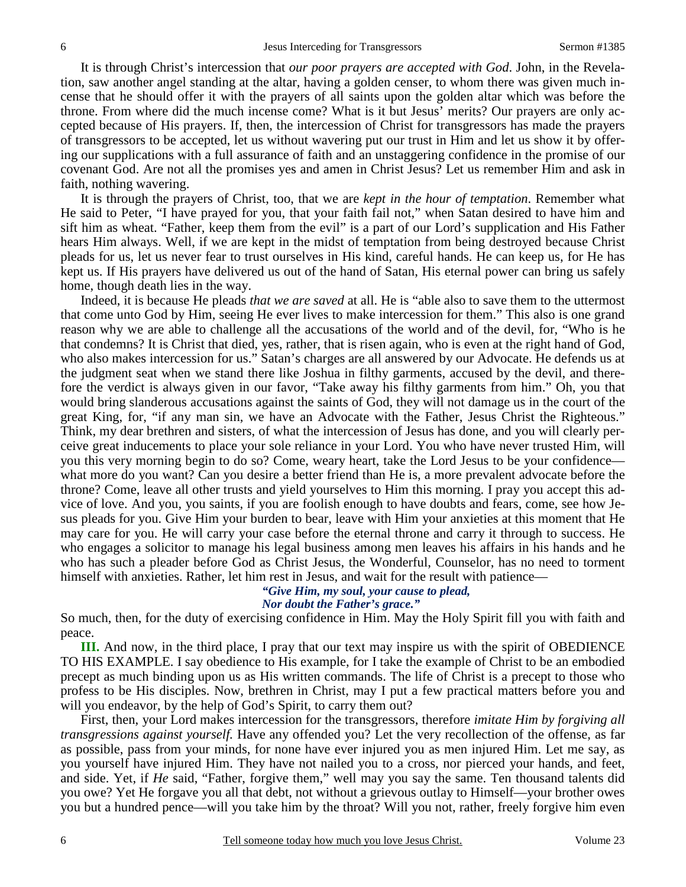It is through Christ's intercession that *our poor prayers are accepted with God*. John, in the Revelation, saw another angel standing at the altar, having a golden censer, to whom there was given much incense that he should offer it with the prayers of all saints upon the golden altar which was before the throne. From where did the much incense come? What is it but Jesus' merits? Our prayers are only accepted because of His prayers. If, then, the intercession of Christ for transgressors has made the prayers of transgressors to be accepted, let us without wavering put our trust in Him and let us show it by offering our supplications with a full assurance of faith and an unstaggering confidence in the promise of our covenant God. Are not all the promises yes and amen in Christ Jesus? Let us remember Him and ask in faith, nothing wavering.

It is through the prayers of Christ, too, that we are *kept in the hour of temptation*. Remember what He said to Peter, "I have prayed for you, that your faith fail not," when Satan desired to have him and sift him as wheat. "Father, keep them from the evil" is a part of our Lord's supplication and His Father hears Him always. Well, if we are kept in the midst of temptation from being destroyed because Christ pleads for us, let us never fear to trust ourselves in His kind, careful hands. He can keep us, for He has kept us. If His prayers have delivered us out of the hand of Satan, His eternal power can bring us safely home, though death lies in the way.

Indeed, it is because He pleads *that we are saved* at all. He is "able also to save them to the uttermost that come unto God by Him, seeing He ever lives to make intercession for them." This also is one grand reason why we are able to challenge all the accusations of the world and of the devil, for, "Who is he that condemns? It is Christ that died, yes, rather, that is risen again, who is even at the right hand of God, who also makes intercession for us." Satan's charges are all answered by our Advocate. He defends us at the judgment seat when we stand there like Joshua in filthy garments, accused by the devil, and therefore the verdict is always given in our favor, "Take away his filthy garments from him." Oh, you that would bring slanderous accusations against the saints of God, they will not damage us in the court of the great King, for, "if any man sin, we have an Advocate with the Father, Jesus Christ the Righteous." Think, my dear brethren and sisters, of what the intercession of Jesus has done, and you will clearly perceive great inducements to place your sole reliance in your Lord. You who have never trusted Him, will you this very morning begin to do so? Come, weary heart, take the Lord Jesus to be your confidence what more do you want? Can you desire a better friend than He is, a more prevalent advocate before the throne? Come, leave all other trusts and yield yourselves to Him this morning. I pray you accept this advice of love. And you, you saints, if you are foolish enough to have doubts and fears, come, see how Jesus pleads for you. Give Him your burden to bear, leave with Him your anxieties at this moment that He may care for you. He will carry your case before the eternal throne and carry it through to success. He who engages a solicitor to manage his legal business among men leaves his affairs in his hands and he who has such a pleader before God as Christ Jesus, the Wonderful, Counselor, has no need to torment himself with anxieties. Rather, let him rest in Jesus, and wait for the result with patience—

## *"Give Him, my soul, your cause to plead,*

*Nor doubt the Father's grace."* 

So much, then, for the duty of exercising confidence in Him. May the Holy Spirit fill you with faith and peace.

**III.** And now, in the third place, I pray that our text may inspire us with the spirit of OBEDIENCE TO HIS EXAMPLE. I say obedience to His example, for I take the example of Christ to be an embodied precept as much binding upon us as His written commands. The life of Christ is a precept to those who profess to be His disciples. Now, brethren in Christ, may I put a few practical matters before you and will you endeavor, by the help of God's Spirit, to carry them out?

First, then, your Lord makes intercession for the transgressors, therefore *imitate Him by forgiving all transgressions against yourself.* Have any offended you? Let the very recollection of the offense, as far as possible, pass from your minds, for none have ever injured you as men injured Him. Let me say, as you yourself have injured Him. They have not nailed you to a cross, nor pierced your hands, and feet, and side. Yet, if *He* said, "Father, forgive them," well may you say the same. Ten thousand talents did you owe? Yet He forgave you all that debt, not without a grievous outlay to Himself—your brother owes you but a hundred pence—will you take him by the throat? Will you not, rather, freely forgive him even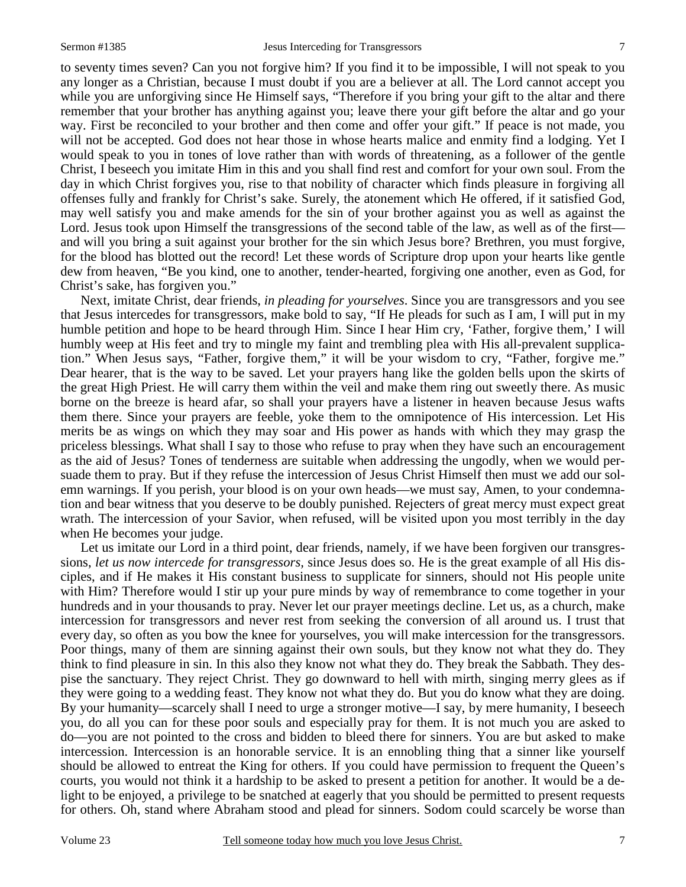to seventy times seven? Can you not forgive him? If you find it to be impossible, I will not speak to you any longer as a Christian, because I must doubt if you are a believer at all. The Lord cannot accept you while you are unforgiving since He Himself says, "Therefore if you bring your gift to the altar and there remember that your brother has anything against you; leave there your gift before the altar and go your way. First be reconciled to your brother and then come and offer your gift." If peace is not made, you will not be accepted. God does not hear those in whose hearts malice and enmity find a lodging. Yet I would speak to you in tones of love rather than with words of threatening, as a follower of the gentle Christ, I beseech you imitate Him in this and you shall find rest and comfort for your own soul. From the day in which Christ forgives you, rise to that nobility of character which finds pleasure in forgiving all offenses fully and frankly for Christ's sake. Surely, the atonement which He offered, if it satisfied God, may well satisfy you and make amends for the sin of your brother against you as well as against the Lord. Jesus took upon Himself the transgressions of the second table of the law, as well as of the first and will you bring a suit against your brother for the sin which Jesus bore? Brethren, you must forgive, for the blood has blotted out the record! Let these words of Scripture drop upon your hearts like gentle dew from heaven, "Be you kind, one to another, tender-hearted, forgiving one another, even as God, for Christ's sake, has forgiven you."

Next, imitate Christ, dear friends, *in pleading for yourselves*. Since you are transgressors and you see that Jesus intercedes for transgressors, make bold to say, "If He pleads for such as I am, I will put in my humble petition and hope to be heard through Him. Since I hear Him cry, 'Father, forgive them,' I will humbly weep at His feet and try to mingle my faint and trembling plea with His all-prevalent supplication." When Jesus says, "Father, forgive them," it will be your wisdom to cry, "Father, forgive me." Dear hearer, that is the way to be saved. Let your prayers hang like the golden bells upon the skirts of the great High Priest. He will carry them within the veil and make them ring out sweetly there. As music borne on the breeze is heard afar, so shall your prayers have a listener in heaven because Jesus wafts them there. Since your prayers are feeble, yoke them to the omnipotence of His intercession. Let His merits be as wings on which they may soar and His power as hands with which they may grasp the priceless blessings. What shall I say to those who refuse to pray when they have such an encouragement as the aid of Jesus? Tones of tenderness are suitable when addressing the ungodly, when we would persuade them to pray. But if they refuse the intercession of Jesus Christ Himself then must we add our solemn warnings. If you perish, your blood is on your own heads—we must say, Amen, to your condemnation and bear witness that you deserve to be doubly punished. Rejecters of great mercy must expect great wrath. The intercession of your Savior, when refused, will be visited upon you most terribly in the day when He becomes your judge.

Let us imitate our Lord in a third point, dear friends, namely, if we have been forgiven our transgressions, *let us now intercede for transgressors,* since Jesus does so. He is the great example of all His disciples, and if He makes it His constant business to supplicate for sinners, should not His people unite with Him? Therefore would I stir up your pure minds by way of remembrance to come together in your hundreds and in your thousands to pray. Never let our prayer meetings decline. Let us, as a church, make intercession for transgressors and never rest from seeking the conversion of all around us. I trust that every day, so often as you bow the knee for yourselves, you will make intercession for the transgressors. Poor things, many of them are sinning against their own souls, but they know not what they do. They think to find pleasure in sin. In this also they know not what they do. They break the Sabbath. They despise the sanctuary. They reject Christ. They go downward to hell with mirth, singing merry glees as if they were going to a wedding feast. They know not what they do. But you do know what they are doing. By your humanity—scarcely shall I need to urge a stronger motive—I say, by mere humanity, I beseech you, do all you can for these poor souls and especially pray for them. It is not much you are asked to do—you are not pointed to the cross and bidden to bleed there for sinners. You are but asked to make intercession. Intercession is an honorable service. It is an ennobling thing that a sinner like yourself should be allowed to entreat the King for others. If you could have permission to frequent the Queen's courts, you would not think it a hardship to be asked to present a petition for another. It would be a delight to be enjoyed, a privilege to be snatched at eagerly that you should be permitted to present requests for others. Oh, stand where Abraham stood and plead for sinners. Sodom could scarcely be worse than